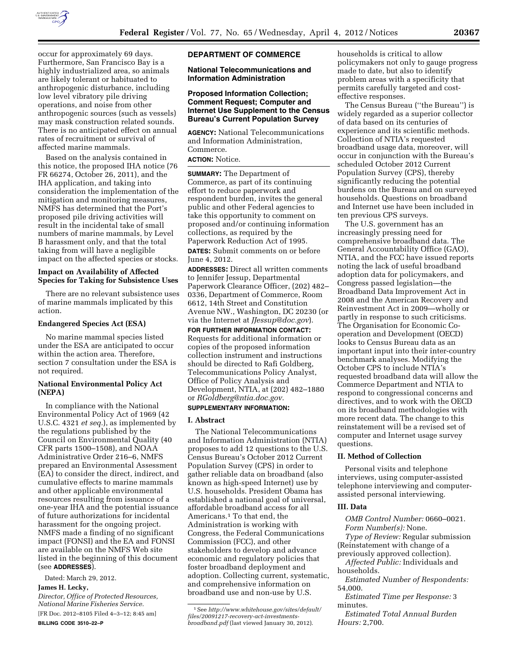

occur for approximately 69 days. Furthermore, San Francisco Bay is a highly industrialized area, so animals are likely tolerant or habituated to anthropogenic disturbance, including low level vibratory pile driving operations, and noise from other anthropogenic sources (such as vessels) may mask construction related sounds. There is no anticipated effect on annual rates of recruitment or survival of affected marine mammals.

Based on the analysis contained in this notice, the proposed IHA notice (76 FR 66274, October 26, 2011), and the IHA application, and taking into consideration the implementation of the mitigation and monitoring measures, NMFS has determined that the Port's proposed pile driving activities will result in the incidental take of small numbers of marine mammals, by Level B harassment only, and that the total taking from will have a negligible impact on the affected species or stocks.

## **Impact on Availability of Affected Species for Taking for Subsistence Uses**

There are no relevant subsistence uses of marine mammals implicated by this action.

#### **Endangered Species Act (ESA)**

No marine mammal species listed under the ESA are anticipated to occur within the action area. Therefore, section 7 consultation under the ESA is not required.

#### **National Environmental Policy Act (NEPA)**

In compliance with the National Environmental Policy Act of 1969 (42 U.S.C. 4321 *et seq.*), as implemented by the regulations published by the Council on Environmental Quality (40 CFR parts 1500–1508), and NOAA Administrative Order 216–6, NMFS prepared an Environmental Assessment (EA) to consider the direct, indirect, and cumulative effects to marine mammals and other applicable environmental resources resulting from issuance of a one-year IHA and the potential issuance of future authorizations for incidental harassment for the ongoing project. NMFS made a finding of no significant impact (FONSI) and the EA and FONSI are available on the NMFS Web site listed in the beginning of this document (see **ADDRESSES**).

Dated: March 29, 2012.

## **James H. Lecky,**

*Director, Office of Protected Resources, National Marine Fisheries Service.* 

[FR Doc. 2012–8105 Filed 4–3–12; 8:45 am] **BILLING CODE 3510–22–P** 

#### **DEPARTMENT OF COMMERCE**

**National Telecommunications and Information Administration** 

### **Proposed Information Collection; Comment Request; Computer and Internet Use Supplement to the Census Bureau's Current Population Survey**

**AGENCY:** National Telecommunications and Information Administration, Commerce.

## **ACTION:** Notice.

**SUMMARY:** The Department of Commerce, as part of its continuing effort to reduce paperwork and respondent burden, invites the general public and other Federal agencies to take this opportunity to comment on proposed and/or continuing information collections, as required by the Paperwork Reduction Act of 1995.

**DATES:** Submit comments on or before June 4, 2012.

**ADDRESSES:** Direct all written comments to Jennifer Jessup, Departmental Paperwork Clearance Officer, (202) 482– 0336, Department of Commerce, Room 6612, 14th Street and Constitution Avenue NW., Washington, DC 20230 (or via the Internet at *[JJessup@doc.gov](mailto:JJessup@doc.gov)*).

**FOR FURTHER INFORMATION CONTACT:**  Requests for additional information or copies of the proposed information collection instrument and instructions should be directed to Rafi Goldberg, Telecommunications Policy Analyst, Office of Policy Analysis and Development, NTIA, at (202) 482–1880 or *[RGoldberg@ntia.doc.gov.](mailto:RGoldberg@ntia.doc.gov)*  **SUPPLEMENTARY INFORMATION:** 

# **I. Abstract**

The National Telecommunications and Information Administration (NTIA) proposes to add 12 questions to the U.S. Census Bureau's October 2012 Current Population Survey (CPS) in order to gather reliable data on broadband (also known as high-speed Internet) use by U.S. households. President Obama has established a national goal of universal, affordable broadband access for all Americans.1 To that end, the Administration is working with Congress, the Federal Communications Commission (FCC), and other stakeholders to develop and advance economic and regulatory policies that foster broadband deployment and adoption. Collecting current, systematic, and comprehensive information on broadband use and non-use by U.S.

households is critical to allow policymakers not only to gauge progress made to date, but also to identify problem areas with a specificity that permits carefully targeted and costeffective responses.

The Census Bureau (''the Bureau'') is widely regarded as a superior collector of data based on its centuries of experience and its scientific methods. Collection of NTIA's requested broadband usage data, moreover, will occur in conjunction with the Bureau's scheduled October 2012 Current Population Survey (CPS), thereby significantly reducing the potential burdens on the Bureau and on surveyed households. Questions on broadband and Internet use have been included in ten previous CPS surveys.

The U.S. government has an increasingly pressing need for comprehensive broadband data. The General Accountability Office (GAO), NTIA, and the FCC have issued reports noting the lack of useful broadband adoption data for policymakers, and Congress passed legislation—the Broadband Data Improvement Act in 2008 and the American Recovery and Reinvestment Act in 2009—wholly or partly in response to such criticisms. The Organisation for Economic Cooperation and Development (OECD) looks to Census Bureau data as an important input into their inter-country benchmark analyses. Modifying the October CPS to include NTIA's requested broadband data will allow the Commerce Department and NTIA to respond to congressional concerns and directives, and to work with the OECD on its broadband methodologies with more recent data. The change to this reinstatement will be a revised set of computer and Internet usage survey questions.

### **II. Method of Collection**

Personal visits and telephone interviews, using computer-assisted telephone interviewing and computerassisted personal interviewing.

#### **III. Data**

*OMB Control Number:* 0660–0021. *Form Number(s):* None.

*Type of Review:* Regular submission (Reinstatement with change of a previously approved collection).

*Affected Public:* Individuals and households.

*Estimated Number of Respondents:*  54,000.

*Estimated Time per Response:* 3 minutes.

*Estimated Total Annual Burden Hours:* 2,700.

<sup>1</sup>See *[http://www.whitehouse.gov/sites/default/](http://www.whitehouse.gov/sites/default/files/20091217-recovery-act-investments-broadband.pdf)  [files/20091217-recovery-act-investments](http://www.whitehouse.gov/sites/default/files/20091217-recovery-act-investments-broadband.pdf)[broadband.pdf](http://www.whitehouse.gov/sites/default/files/20091217-recovery-act-investments-broadband.pdf)* (last viewed January 30, 2012).